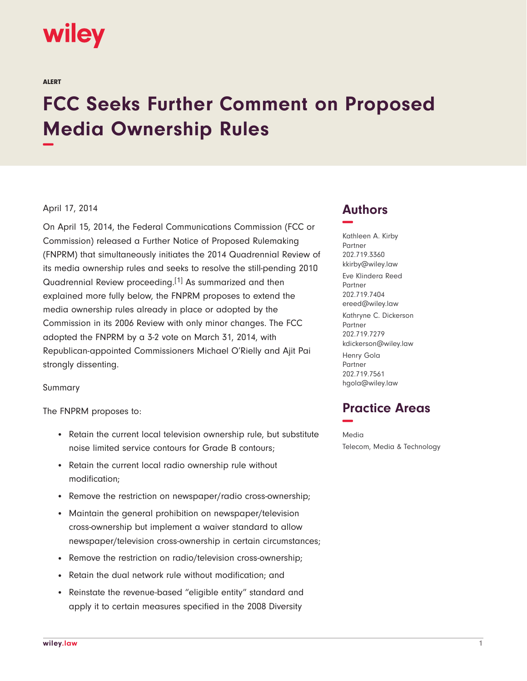# wiley

ALERT

# **FCC Seeks Further Comment on Proposed Media Ownership Rules −**

#### April 17, 2014

On April 15, 2014, the Federal Communications Commission (FCC or Commission) released a Further Notice of Proposed Rulemaking (FNPRM) that simultaneously initiates the 2014 Quadrennial Review of its media ownership rules and seeks to resolve the still-pending 2010 Quadrennial Review proceeding.[1] As summarized and then explained more fully below, the FNPRM proposes to extend the media ownership rules already in place or adopted by the Commission in its 2006 Review with only minor changes. The FCC adopted the FNPRM by a 3-2 vote on March 31, 2014, with Republican-appointed Commissioners Michael O'Rielly and Ajit Pai strongly dissenting.

Summary

The FNPRM proposes to:

- Retain the current local television ownership rule, but substitute noise limited service contours for Grade B contours;
- Retain the current local radio ownership rule without modification;
- Remove the restriction on newspaper/radio cross-ownership;
- Maintain the general prohibition on newspaper/television cross-ownership but implement a waiver standard to allow newspaper/television cross-ownership in certain circumstances;
- Remove the restriction on radio/television cross-ownership;
- Retain the dual network rule without modification; and
- Reinstate the revenue-based "eligible entity" standard and apply it to certain measures specified in the 2008 Diversity

## **Authors −**

Kathleen A. Kirby Partner 202.719.3360 kkirby@wiley.law Eve Klindera Reed Partner 202.719.7404 ereed@wiley.law Kathryne C. Dickerson Partner 202.719.7279 kdickerson@wiley.law Henry Gola Partner 202.719.7561 hgola@wiley.law

## **Practice Areas −**

Media Telecom, Media & Technology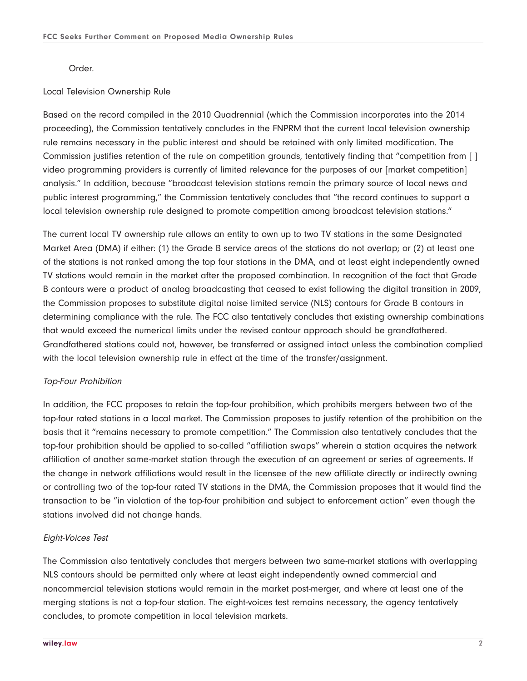Order.

#### Local Television Ownership Rule

Based on the record compiled in the 2010 Quadrennial (which the Commission incorporates into the 2014 proceeding), the Commission tentatively concludes in the FNPRM that the current local television ownership rule remains necessary in the public interest and should be retained with only limited modification. The Commission justifies retention of the rule on competition grounds, tentatively finding that "competition from [ ] video programming providers is currently of limited relevance for the purposes of our [market competition] analysis." In addition, because "broadcast television stations remain the primary source of local news and public interest programming," the Commission tentatively concludes that "the record continues to support a local television ownership rule designed to promote competition among broadcast television stations."

The current local TV ownership rule allows an entity to own up to two TV stations in the same Designated Market Area (DMA) if either: (1) the Grade B service areas of the stations do not overlap; or (2) at least one of the stations is not ranked among the top four stations in the DMA, and at least eight independently owned TV stations would remain in the market after the proposed combination. In recognition of the fact that Grade B contours were a product of analog broadcasting that ceased to exist following the digital transition in 2009, the Commission proposes to substitute digital noise limited service (NLS) contours for Grade B contours in determining compliance with the rule. The FCC also tentatively concludes that existing ownership combinations that would exceed the numerical limits under the revised contour approach should be grandfathered. Grandfathered stations could not, however, be transferred or assigned intact unless the combination complied with the local television ownership rule in effect at the time of the transfer/assignment.

#### Top-Four Prohibition

In addition, the FCC proposes to retain the top-four prohibition, which prohibits mergers between two of the top-four rated stations in a local market. The Commission proposes to justify retention of the prohibition on the basis that it "remains necessary to promote competition." The Commission also tentatively concludes that the top-four prohibition should be applied to so-called "affiliation swaps" wherein a station acquires the network affiliation of another same-market station through the execution of an agreement or series of agreements. If the change in network affiliations would result in the licensee of the new affiliate directly or indirectly owning or controlling two of the top-four rated TV stations in the DMA, the Commission proposes that it would find the transaction to be "in violation of the top-four prohibition and subject to enforcement action" even though the stations involved did not change hands.

#### Eight-Voices Test

The Commission also tentatively concludes that mergers between two same-market stations with overlapping NLS contours should be permitted only where at least eight independently owned commercial and noncommercial television stations would remain in the market post-merger, and where at least one of the merging stations is not a top-four station. The eight-voices test remains necessary, the agency tentatively concludes, to promote competition in local television markets.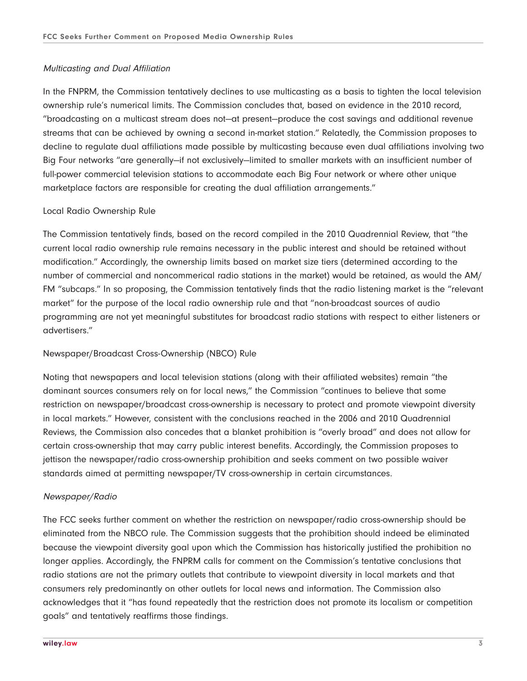#### Multicasting and Dual Affiliation

In the FNPRM, the Commission tentatively declines to use multicasting as a basis to tighten the local television ownership rule's numerical limits. The Commission concludes that, based on evidence in the 2010 record, "broadcasting on a multicast stream does not—at present—produce the cost savings and additional revenue streams that can be achieved by owning a second in-market station." Relatedly, the Commission proposes to decline to regulate dual affiliations made possible by multicasting because even dual affiliations involving two Big Four networks "are generally—if not exclusively—limited to smaller markets with an insufficient number of full-power commercial television stations to accommodate each Big Four network or where other unique marketplace factors are responsible for creating the dual affiliation arrangements."

#### Local Radio Ownership Rule

The Commission tentatively finds, based on the record compiled in the 2010 Quadrennial Review, that "the current local radio ownership rule remains necessary in the public interest and should be retained without modification." Accordingly, the ownership limits based on market size tiers (determined according to the number of commercial and noncommerical radio stations in the market) would be retained, as would the AM/ FM "subcaps." In so proposing, the Commission tentatively finds that the radio listening market is the "relevant market" for the purpose of the local radio ownership rule and that "non-broadcast sources of audio programming are not yet meaningful substitutes for broadcast radio stations with respect to either listeners or advertisers."

#### Newspaper/Broadcast Cross-Ownership (NBCO) Rule

Noting that newspapers and local television stations (along with their affiliated websites) remain "the dominant sources consumers rely on for local news," the Commission "continues to believe that some restriction on newspaper/broadcast cross-ownership is necessary to protect and promote viewpoint diversity in local markets." However, consistent with the conclusions reached in the 2006 and 2010 Quadrennial Reviews, the Commission also concedes that a blanket prohibition is "overly broad" and does not allow for certain cross-ownership that may carry public interest benefits. Accordingly, the Commission proposes to jettison the newspaper/radio cross-ownership prohibition and seeks comment on two possible waiver standards aimed at permitting newspaper/TV cross-ownership in certain circumstances.

#### Newspaper/Radio

The FCC seeks further comment on whether the restriction on newspaper/radio cross-ownership should be eliminated from the NBCO rule. The Commission suggests that the prohibition should indeed be eliminated because the viewpoint diversity goal upon which the Commission has historically justified the prohibition no longer applies. Accordingly, the FNPRM calls for comment on the Commission's tentative conclusions that radio stations are not the primary outlets that contribute to viewpoint diversity in local markets and that consumers rely predominantly on other outlets for local news and information. The Commission also acknowledges that it "has found repeatedly that the restriction does not promote its localism or competition goals" and tentatively reaffirms those findings.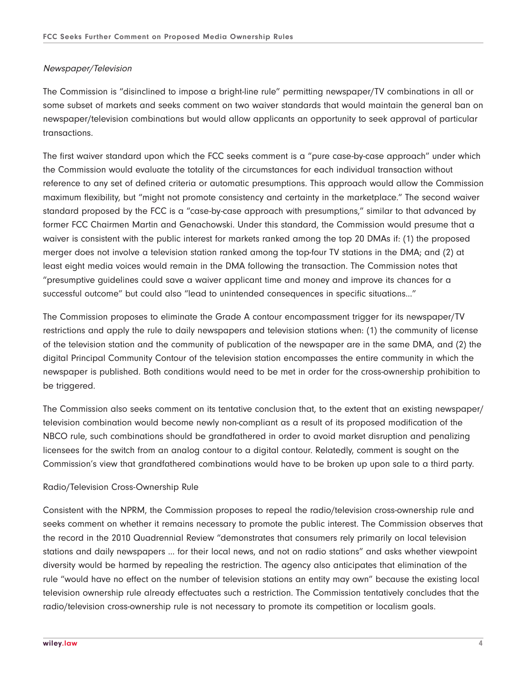#### Newspaper/Television

The Commission is "disinclined to impose a bright-line rule" permitting newspaper/TV combinations in all or some subset of markets and seeks comment on two waiver standards that would maintain the general ban on newspaper/television combinations but would allow applicants an opportunity to seek approval of particular transactions.

The first waiver standard upon which the FCC seeks comment is a "pure case-by-case approach" under which the Commission would evaluate the totality of the circumstances for each individual transaction without reference to any set of defined criteria or automatic presumptions. This approach would allow the Commission maximum flexibility, but "might not promote consistency and certainty in the marketplace." The second waiver standard proposed by the FCC is a "case-by-case approach with presumptions," similar to that advanced by former FCC Chairmen Martin and Genachowski. Under this standard, the Commission would presume that a waiver is consistent with the public interest for markets ranked among the top 20 DMAs if: (1) the proposed merger does not involve a television station ranked among the top-four TV stations in the DMA; and (2) at least eight media voices would remain in the DMA following the transaction. The Commission notes that "presumptive guidelines could save a waiver applicant time and money and improve its chances for a successful outcome" but could also "lead to unintended consequences in specific situations…"

The Commission proposes to eliminate the Grade A contour encompassment trigger for its newspaper/TV restrictions and apply the rule to daily newspapers and television stations when: (1) the community of license of the television station and the community of publication of the newspaper are in the same DMA, and (2) the digital Principal Community Contour of the television station encompasses the entire community in which the newspaper is published. Both conditions would need to be met in order for the cross-ownership prohibition to be triggered.

The Commission also seeks comment on its tentative conclusion that, to the extent that an existing newspaper/ television combination would become newly non-compliant as a result of its proposed modification of the NBCO rule, such combinations should be grandfathered in order to avoid market disruption and penalizing licensees for the switch from an analog contour to a digital contour. Relatedly, comment is sought on the Commission's view that grandfathered combinations would have to be broken up upon sale to a third party.

#### Radio/Television Cross-Ownership Rule

Consistent with the NPRM, the Commission proposes to repeal the radio/television cross-ownership rule and seeks comment on whether it remains necessary to promote the public interest. The Commission observes that the record in the 2010 Quadrennial Review "demonstrates that consumers rely primarily on local television stations and daily newspapers … for their local news, and not on radio stations" and asks whether viewpoint diversity would be harmed by repealing the restriction. The agency also anticipates that elimination of the rule "would have no effect on the number of television stations an entity may own" because the existing local television ownership rule already effectuates such a restriction. The Commission tentatively concludes that the radio/television cross-ownership rule is not necessary to promote its competition or localism goals.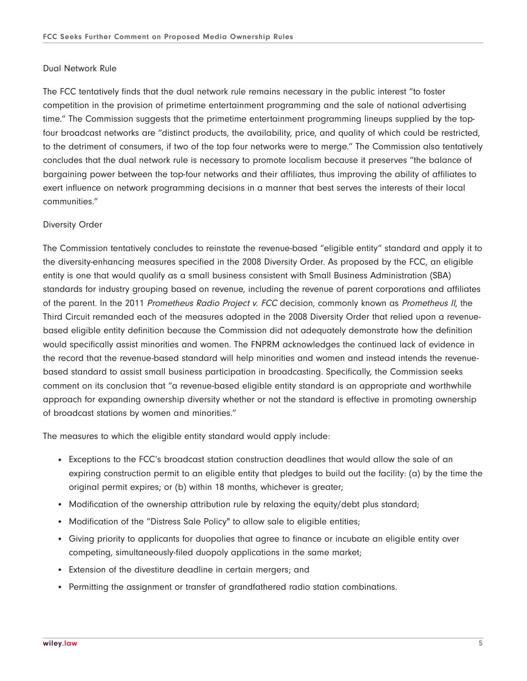#### Dual Network Rule

The FCC tentatively finds that the dual network rule remains necessary in the public interest "to foster competition in the provision of primetime entertainment programming and the sale of national advertising time." The Commission suggests that the primetime entertainment programming lineups supplied by the topfour broadcast networks are "distinct products, the availability, price, and quality of which could be restricted, to the detriment of consumers, if two of the top four networks were to merge." The Commission also tentatively concludes that the dual network rule is necessary to promote localism because it preserves "the balance of bargaining power between the top-four networks and their affiliates, thus improving the ability of affiliates to exert influence on network programming decisions in a manner that best serves the interests of their local communities."

#### Diversity Order

The Commission tentatively concludes to reinstate the revenue-based "eligible entity" standard and apply it to the diversity-enhancing measures specified in the 2008 Diversity Order. As proposed by the FCC, an eligible entity is one that would qualify as a small business consistent with Small Business Administration (SBA) standards for industry grouping based on revenue, including the revenue of parent corporations and affiliates of the parent. In the 2011 Prometheus Radio Project v. FCC decision, commonly known as Prometheus II, the Third Circuit remanded each of the measures adopted in the 2008 Diversity Order that relied upon a revenuebased eligible entity definition because the Commission did not adequately demonstrate how the definition would specifically assist minorities and women. The FNPRM acknowledges the continued lack of evidence in the record that the revenue-based standard will help minorities and women and instead intends the revenuebased standard to assist small business participation in broadcasting. Specifically, the Commission seeks comment on its conclusion that "a revenue-based eligible entity standard is an appropriate and worthwhile approach for expanding ownership diversity whether or not the standard is effective in promoting ownership of broadcast stations by women and minorities."

The measures to which the eligible entity standard would apply include:

- Exceptions to the FCC's broadcast station construction deadlines that would allow the sale of an expiring construction permit to an eligible entity that pledges to build out the facility: (a) by the time the original permit expires; or (b) within 18 months, whichever is greater;
- Modification of the ownership attribution rule by relaxing the equity/debt plus standard;
- Modification of the "Distress Sale Policy" to allow sale to eligible entities;
- Giving priority to applicants for duopolies that agree to finance or incubate an eligible entity over competing, simultaneously-filed duopoly applications in the same market;
- Extension of the divestiture deadline in certain mergers; and
- Permitting the assignment or transfer of grandfathered radio station combinations.